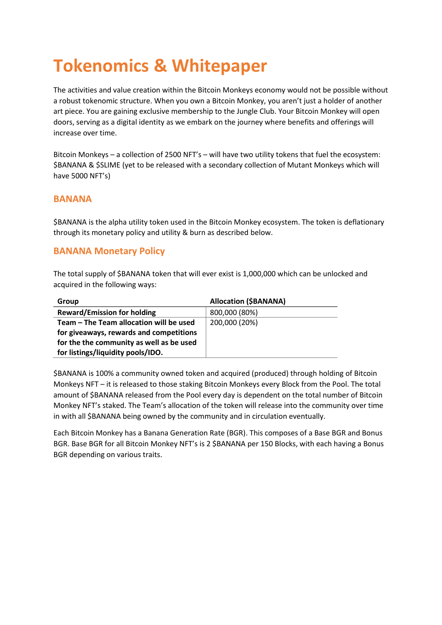# **Tokenomics & Whitepaper**

The activities and value creation within the Bitcoin Monkeys economy would not be possible without a robust tokenomic structure. When you own a Bitcoin Monkey, you aren't just a holder of another art piece. You are gaining exclusive membership to the Jungle Club. Your Bitcoin Monkey will open doors, serving as a digital identity as we embark on the journey where benefits and offerings will increase over time.

Bitcoin Monkeys – a collection of 2500 NFT's – will have two utility tokens that fuel the ecosystem: \$BANANA & \$SLIME (yet to be released with a secondary collection of Mutant Monkeys which will have 5000 NFT's)

#### **BANANA**

\$BANANA is the alpha utility token used in the Bitcoin Monkey ecosystem. The token is deflationary through its monetary policy and utility & burn as described below.

### **BANANA Monetary Policy**

The total supply of \$BANANA token that will ever exist is 1,000,000 which can be unlocked and acquired in the following ways:

| Group                                    | <b>Allocation (\$BANANA)</b> |
|------------------------------------------|------------------------------|
| <b>Reward/Emission for holding</b>       | 800,000 (80%)                |
| Team – The Team allocation will be used  | 200,000 (20%)                |
| for giveaways, rewards and competitions  |                              |
| for the the community as well as be used |                              |
| for listings/liquidity pools/IDO.        |                              |

\$BANANA is 100% a community owned token and acquired (produced) through holding of Bitcoin Monkeys NFT – it is released to those staking Bitcoin Monkeys every Block from the Pool. The total amount of \$BANANA released from the Pool every day is dependent on the total number of Bitcoin Monkey NFT's staked. The Team's allocation of the token will release into the community over time in with all \$BANANA being owned by the community and in circulation eventually.

Each Bitcoin Monkey has a Banana Generation Rate (BGR). This composes of a Base BGR and Bonus BGR. Base BGR for all Bitcoin Monkey NFT's is 2 \$BANANA per 150 Blocks, with each having a Bonus BGR depending on various traits.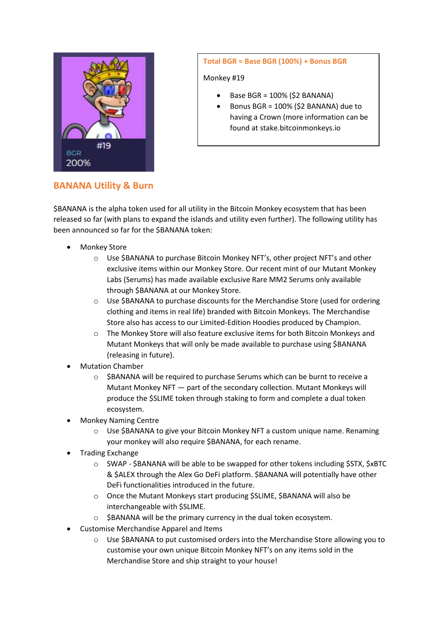

#### **Total BGR = Base BGR (100%) + Bonus BGR**

Monkey #19

- Base BGR = 100% (\$2 BANANA)
- Bonus BGR = 100% (\$2 BANANA) due to having a Crown (more information can be found at stake.bitcoinmonkeys.io

## **BANANA Utility & Burn**

\$BANANA is the alpha token used for all utility in the Bitcoin Monkey ecosystem that has been released so far (with plans to expand the islands and utility even further). The following utility has been announced so far for the \$BANANA token:

- **Monkey Store** 
	- o Use \$BANANA to purchase Bitcoin Monkey NFT's, other project NFT's and other exclusive items within our Monkey Store. Our recent mint of our Mutant Monkey Labs (Serums) has made available exclusive Rare MM2 Serums only available through \$BANANA at our Monkey Store.
	- $\circ$  Use \$BANANA to purchase discounts for the Merchandise Store (used for ordering clothing and items in real life) branded with Bitcoin Monkeys. The Merchandise Store also has access to our Limited-Edition Hoodies produced by Champion.
	- o The Monkey Store will also feature exclusive items for both Bitcoin Monkeys and Mutant Monkeys that will only be made available to purchase using \$BANANA (releasing in future).
- Mutation Chamber
	- o \$BANANA will be required to purchase Serums which can be burnt to receive a Mutant Monkey NFT — part of the secondary collection. Mutant Monkeys will produce the \$SLIME token through staking to form and complete a dual token ecosystem.
- Monkey Naming Centre
	- $\circ$  Use \$BANANA to give your Bitcoin Monkey NFT a custom unique name. Renaming your monkey will also require \$BANANA, for each rename.
- Trading Exchange
	- o SWAP \$BANANA will be able to be swapped for other tokens including \$STX, \$xBTC & \$ALEX through the Alex Go DeFi platform. \$BANANA will potentially have other DeFi functionalities introduced in the future.
	- o Once the Mutant Monkeys start producing \$SLIME, \$BANANA will also be interchangeable with \$SLIME.
	- o \$BANANA will be the primary currency in the dual token ecosystem.
- Customise Merchandise Apparel and Items
	- o Use \$BANANA to put customised orders into the Merchandise Store allowing you to customise your own unique Bitcoin Monkey NFT's on any items sold in the Merchandise Store and ship straight to your house!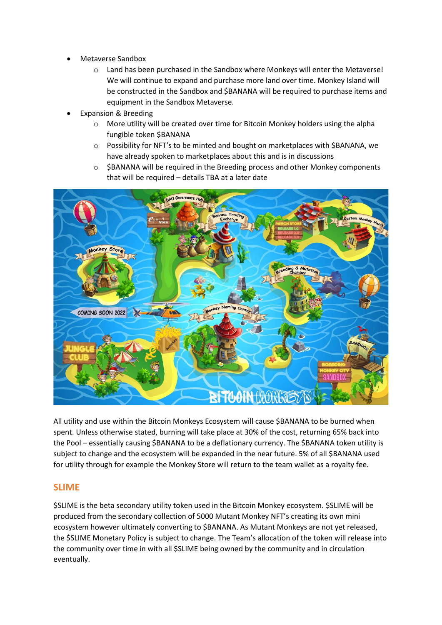- Metaverse Sandbox
	- o Land has been purchased in the Sandbox where Monkeys will enter the Metaverse! We will continue to expand and purchase more land over time. Monkey Island will be constructed in the Sandbox and \$BANANA will be required to purchase items and equipment in the Sandbox Metaverse.
- Expansion & Breeding
	- $\circ$  More utility will be created over time for Bitcoin Monkey holders using the alpha fungible token \$BANANA
	- o Possibility for NFT's to be minted and bought on marketplaces with \$BANANA, we have already spoken to marketplaces about this and is in discussions
	- o \$BANANA will be required in the Breeding process and other Monkey components that will be required – details TBA at a later date



All utility and use within the Bitcoin Monkeys Ecosystem will cause \$BANANA to be burned when spent. Unless otherwise stated, burning will take place at 30% of the cost, returning 65% back into the Pool – essentially causing \$BANANA to be a deflationary currency. The \$BANANA token utility is subject to change and the ecosystem will be expanded in the near future. 5% of all \$BANANA used for utility through for example the Monkey Store will return to the team wallet as a royalty fee.

#### **SLIME**

\$SLIME is the beta secondary utility token used in the Bitcoin Monkey ecosystem. \$SLIME will be produced from the secondary collection of 5000 Mutant Monkey NFT's creating its own mini ecosystem however ultimately converting to \$BANANA. As Mutant Monkeys are not yet released, the \$SLIME Monetary Policy is subject to change. The Team's allocation of the token will release into the community over time in with all \$SLIME being owned by the community and in circulation eventually.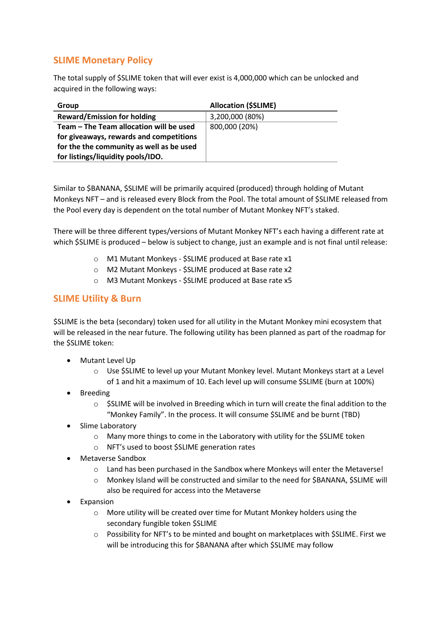# **SLIME Monetary Policy**

The total supply of \$SLIME token that will ever exist is 4,000,000 which can be unlocked and acquired in the following ways:

| <b>Group</b>                             | <b>Allocation (\$SLIME)</b> |
|------------------------------------------|-----------------------------|
| <b>Reward/Emission for holding</b>       | 3,200,000 (80%)             |
| Team – The Team allocation will be used  | 800,000 (20%)               |
| for giveaways, rewards and competitions  |                             |
| for the the community as well as be used |                             |
| for listings/liquidity pools/IDO.        |                             |

Similar to \$BANANA, \$SLIME will be primarily acquired (produced) through holding of Mutant Monkeys NFT – and is released every Block from the Pool. The total amount of \$SLIME released from the Pool every day is dependent on the total number of Mutant Monkey NFT's staked.

There will be three different types/versions of Mutant Monkey NFT's each having a different rate at which \$SLIME is produced – below is subject to change, just an example and is not final until release:

- o M1 Mutant Monkeys \$SLIME produced at Base rate x1
- o M2 Mutant Monkeys \$SLIME produced at Base rate x2
- o M3 Mutant Monkeys \$SLIME produced at Base rate x5

#### **SLIME Utility & Burn**

\$SLIME is the beta (secondary) token used for all utility in the Mutant Monkey mini ecosystem that will be released in the near future. The following utility has been planned as part of the roadmap for the \$SLIME token:

- Mutant Level Up
	- $\circ$  Use SSLIME to level up your Mutant Monkey level. Mutant Monkeys start at a Level of 1 and hit a maximum of 10. Each level up will consume \$SLIME (burn at 100%)
- Breeding
	- $\circ$  \$SLIME will be involved in Breeding which in turn will create the final addition to the "Monkey Family". In the process. It will consume \$SLIME and be burnt (TBD)
- Slime Laboratory
	- o Many more things to come in the Laboratory with utility for the \$SLIME token
	- o NFT's used to boost \$SLIME generation rates
- Metaverse Sandbox
	- $\circ$  Land has been purchased in the Sandbox where Monkeys will enter the Metaverse!
	- o Monkey Island will be constructed and similar to the need for \$BANANA, \$SLIME will also be required for access into the Metaverse
- **Expansion** 
	- o More utility will be created over time for Mutant Monkey holders using the secondary fungible token \$SLIME
	- o Possibility for NFT's to be minted and bought on marketplaces with \$SLIME. First we will be introducing this for \$BANANA after which \$SLIME may follow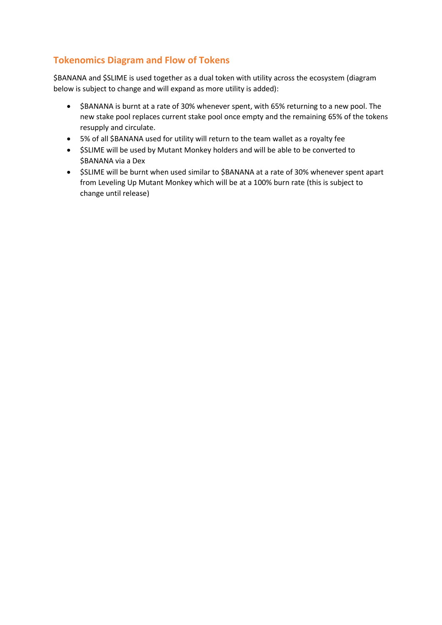# **Tokenomics Diagram and Flow of Tokens**

\$BANANA and \$SLIME is used together as a dual token with utility across the ecosystem (diagram below is subject to change and will expand as more utility is added):

- \$BANANA is burnt at a rate of 30% whenever spent, with 65% returning to a new pool. The new stake pool replaces current stake pool once empty and the remaining 65% of the tokens resupply and circulate.
- 5% of all \$BANANA used for utility will return to the team wallet as a royalty fee
- \$SLIME will be used by Mutant Monkey holders and will be able to be converted to \$BANANA via a Dex
- \$SLIME will be burnt when used similar to \$BANANA at a rate of 30% whenever spent apart from Leveling Up Mutant Monkey which will be at a 100% burn rate (this is subject to change until release)